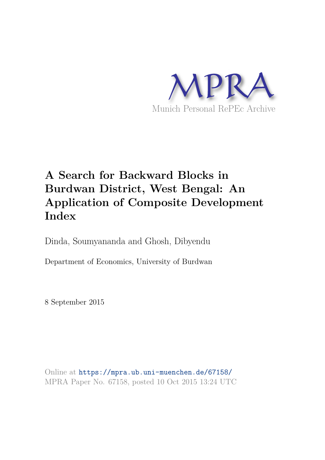

# **A Search for Backward Blocks in Burdwan District, West Bengal: An Application of Composite Development Index**

Dinda, Soumyananda and Ghosh, Dibyendu

Department of Economics, University of Burdwan

8 September 2015

Online at https://mpra.ub.uni-muenchen.de/67158/ MPRA Paper No. 67158, posted 10 Oct 2015 13:24 UTC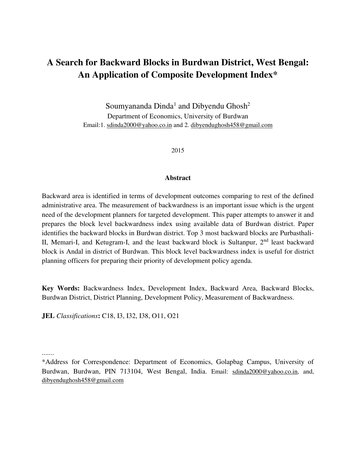## **A Search for Backward Blocks in Burdwan District, West Bengal: An Application of Composite Development Index\***

Soumyananda Dinda<sup>1</sup> and Dibyendu Ghosh<sup>2</sup> Department of Economics, University of Burdwan Email:1. [sdinda2000@yahoo.co.in](mailto:sdinda2000@yahoo.co.in) and 2. dibyendughosh458@gmail.com

2015

### **Abstract**

Backward area is identified in terms of development outcomes comparing to rest of the defined administrative area. The measurement of backwardness is an important issue which is the urgent need of the development planners for targeted development. This paper attempts to answer it and prepares the block level backwardness index using available data of Burdwan district. Paper identifies the backward blocks in Burdwan district. Top 3 most backward blocks are Purbasthali-II, Memari-I, and Ketugram-I, and the least backward block is Sultanpur,  $2<sup>nd</sup>$  least backward block is Andal in district of Burdwan. This block level backwardness index is useful for district planning officers for preparing their priority of development policy agenda.

**Key Words:** Backwardness Index, Development Index, Backward Area, Backward Blocks, Burdwan District, District Planning, Development Policy, Measurement of Backwardness.

**JEL** *Classifications***:** C18, I3, I32, I38, O11, O21

.......

<sup>\*</sup>Address for Correspondence: Department of Economics, Golapbag Campus, University of Burdwan, Burdwan, PIN 713104, West Bengal, India. Email: [sdinda2000@yahoo.co.in,](mailto:sdinda2000@yahoo.co.in) and, [dibyendughosh458@gmail.com](mailto:dibyendughosh458@gmail.com)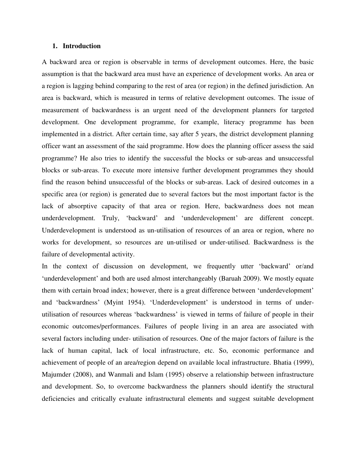## **1. Introduction**

A backward area or region is observable in terms of development outcomes. Here, the basic assumption is that the backward area must have an experience of development works. An area or a region is lagging behind comparing to the rest of area (or region) in the defined jurisdiction. An area is backward, which is measured in terms of relative development outcomes. The issue of measurement of backwardness is an urgent need of the development planners for targeted development. One development programme, for example, literacy programme has been implemented in a district. After certain time, say after 5 years, the district development planning officer want an assessment of the said programme. How does the planning officer assess the said programme? He also tries to identify the successful the blocks or sub-areas and unsuccessful blocks or sub-areas. To execute more intensive further development programmes they should find the reason behind unsuccessful of the blocks or sub-areas. Lack of desired outcomes in a specific area (or region) is generated due to several factors but the most important factor is the lack of absorptive capacity of that area or region. Here, backwardness does not mean underdevelopment. Truly, 'backward' and 'underdevelopment' are different concept. Underdevelopment is understood as un-utilisation of resources of an area or region, where no works for development, so resources are un-utilised or under-utilised. Backwardness is the failure of developmental activity.

In the context of discussion on development, we frequently utter 'backward' or/and 'underdevelopment' and both are used almost interchangeably (Baruah 2009). We mostly equate them with certain broad index; however, there is a great difference between 'underdevelopment' and 'backwardness' (Myint 1954). 'Underdevelopment' is understood in terms of underutilisation of resources whereas 'backwardness' is viewed in terms of failure of people in their economic outcomes/performances. Failures of people living in an area are associated with several factors including under- utilisation of resources. One of the major factors of failure is the lack of human capital, lack of local infrastructure, etc. So, economic performance and achievement of people of an area/region depend on available local infrastructure. Bhatia (1999), Majumder (2008), and Wanmali and Islam (1995) observe a relationship between infrastructure and development. So, to overcome backwardness the planners should identify the structural deficiencies and critically evaluate infrastructural elements and suggest suitable development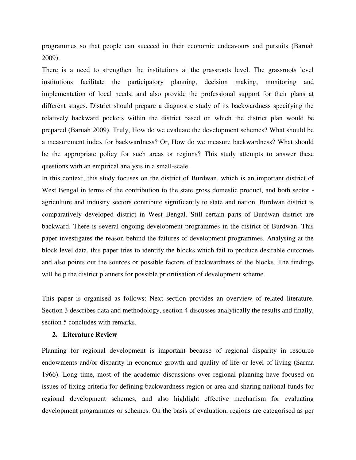programmes so that people can succeed in their economic endeavours and pursuits (Baruah 2009).

There is a need to strengthen the institutions at the grassroots level. The grassroots level institutions facilitate the participatory planning, decision making, monitoring and implementation of local needs; and also provide the professional support for their plans at different stages. District should prepare a diagnostic study of its backwardness specifying the relatively backward pockets within the district based on which the district plan would be prepared (Baruah 2009). Truly, How do we evaluate the development schemes? What should be a measurement index for backwardness? Or, How do we measure backwardness? What should be the appropriate policy for such areas or regions? This study attempts to answer these questions with an empirical analysis in a small-scale.

In this context, this study focuses on the district of Burdwan, which is an important district of West Bengal in terms of the contribution to the state gross domestic product, and both sector agriculture and industry sectors contribute significantly to state and nation. Burdwan district is comparatively developed district in West Bengal. Still certain parts of Burdwan district are backward. There is several ongoing development programmes in the district of Burdwan. This paper investigates the reason behind the failures of development programmes. Analysing at the block level data, this paper tries to identify the blocks which fail to produce desirable outcomes and also points out the sources or possible factors of backwardness of the blocks. The findings will help the district planners for possible prioritisation of development scheme.

This paper is organised as follows: Next section provides an overview of related literature. Section 3 describes data and methodology, section 4 discusses analytically the results and finally, section 5 concludes with remarks.

### **2. Literature Review**

Planning for regional development is important because of regional disparity in resource endowments and/or disparity in economic growth and quality of life or level of living (Sarma 1966). Long time, most of the academic discussions over regional planning have focused on issues of fixing criteria for defining backwardness region or area and sharing national funds for regional development schemes, and also highlight effective mechanism for evaluating development programmes or schemes. On the basis of evaluation, regions are categorised as per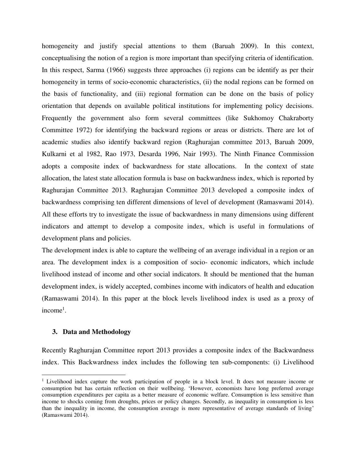homogeneity and justify special attentions to them (Baruah 2009). In this context, conceptualising the notion of a region is more important than specifying criteria of identification. In this respect, Sarma (1966) suggests three approaches (i) regions can be identify as per their homogeneity in terms of socio-economic characteristics, (ii) the nodal regions can be formed on the basis of functionality, and (iii) regional formation can be done on the basis of policy orientation that depends on available political institutions for implementing policy decisions. Frequently the government also form several committees (like Sukhomoy Chakraborty Committee 1972) for identifying the backward regions or areas or districts. There are lot of academic studies also identify backward region (Raghurajan committee 2013, Baruah 2009, Kulkarni et al 1982, Rao 1973, Desarda 1996, Nair 1993). The Ninth Finance Commission adopts a composite index of backwardness for state allocations. In the context of state allocation, the latest state allocation formula is base on backwardness index, which is reported by Raghurajan Committee 2013. Raghurajan Committee 2013 developed a composite index of backwardness comprising ten different dimensions of level of development (Ramaswami 2014). All these efforts try to investigate the issue of backwardness in many dimensions using different indicators and attempt to develop a composite index, which is useful in formulations of development plans and policies.

The development index is able to capture the wellbeing of an average individual in a region or an area. The development index is a composition of socio- economic indicators, which include livelihood instead of income and other social indicators. It should be mentioned that the human development index, is widely accepted, combines income with indicators of health and education (Ramaswami 2014). In this paper at the block levels livelihood index is used as a proxy of  $income<sup>1</sup>$ .

## **3. Data and Methodology**

l

Recently Raghurajan Committee report 2013 provides a composite index of the Backwardness index. This Backwardness index includes the following ten sub-components: (i) Livelihood

<sup>&</sup>lt;sup>1</sup> Livelihood index capture the work participation of people in a block level. It does not measure income or consumption but has certain reflection on their wellbeing. 'However, economists have long preferred average consumption expenditures per capita as a better measure of economic welfare. Consumption is less sensitive than income to shocks coming from droughts, prices or policy changes. Secondly, as inequality in consumption is less than the inequality in income, the consumption average is more representative of average standards of living' (Ramaswami 2014).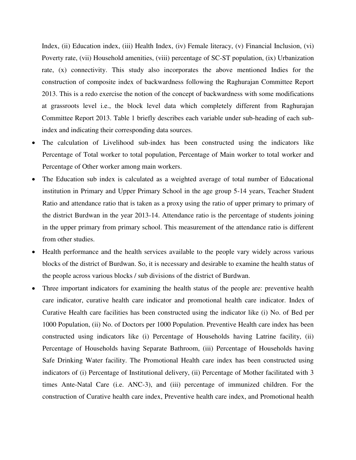Index, (ii) Education index, (iii) Health Index, (iv) Female literacy, (v) Financial Inclusion, (vi) Poverty rate, (vii) Household amenities, (viii) percentage of SC-ST population, (ix) Urbanization rate, (x) connectivity. This study also incorporates the above mentioned Indies for the construction of composite index of backwardness following the Raghurajan Committee Report 2013. This is a redo exercise the notion of the concept of backwardness with some modifications at grassroots level i.e., the block level data which completely different from Raghurajan Committee Report 2013. Table 1 briefly describes each variable under sub-heading of each subindex and indicating their corresponding data sources.

- The calculation of Livelihood sub-index has been constructed using the indicators like Percentage of Total worker to total population, Percentage of Main worker to total worker and Percentage of Other worker among main workers.
- The Education sub index is calculated as a weighted average of total number of Educational institution in Primary and Upper Primary School in the age group 5-14 years, Teacher Student Ratio and attendance ratio that is taken as a proxy using the ratio of upper primary to primary of the district Burdwan in the year 2013-14. Attendance ratio is the percentage of students joining in the upper primary from primary school. This measurement of the attendance ratio is different from other studies.
- Health performance and the health services available to the people vary widely across various blocks of the district of Burdwan. So, it is necessary and desirable to examine the health status of the people across various blocks / sub divisions of the district of Burdwan.
- Three important indicators for examining the health status of the people are: preventive health care indicator, curative health care indicator and promotional health care indicator. Index of Curative Health care facilities has been constructed using the indicator like (i) No. of Bed per 1000 Population, (ii) No. of Doctors per 1000 Population. Preventive Health care index has been constructed using indicators like (i) Percentage of Households having Latrine facility, (ii) Percentage of Households having Separate Bathroom, (iii) Percentage of Households having Safe Drinking Water facility. The Promotional Health care index has been constructed using indicators of (i) Percentage of Institutional delivery, (ii) Percentage of Mother facilitated with 3 times Ante-Natal Care (i.e. ANC-3), and (iii) percentage of immunized children. For the construction of Curative health care index, Preventive health care index, and Promotional health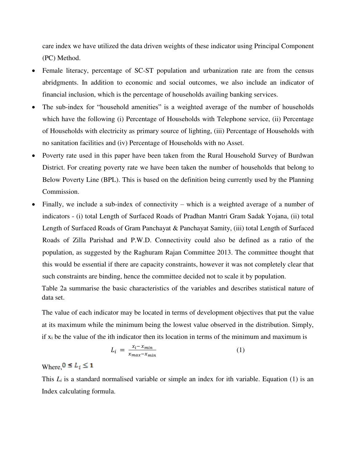care index we have utilized the data driven weights of these indicator using Principal Component (PC) Method.

- Female literacy, percentage of SC-ST population and urbanization rate are from the census abridgments. In addition to economic and social outcomes, we also include an indicator of financial inclusion, which is the percentage of households availing banking services.
- The sub-index for "household amenities" is a weighted average of the number of households which have the following (i) Percentage of Households with Telephone service, (ii) Percentage of Households with electricity as primary source of lighting, (iii) Percentage of Households with no sanitation facilities and (iv) Percentage of Households with no Asset.
- Poverty rate used in this paper have been taken from the Rural Household Survey of Burdwan District. For creating poverty rate we have been taken the number of households that belong to Below Poverty Line (BPL). This is based on the definition being currently used by the Planning Commission.
- Finally, we include a sub-index of connectivity which is a weighted average of a number of indicators - (i) total Length of Surfaced Roads of Pradhan Mantri Gram Sadak Yojana, (ii) total Length of Surfaced Roads of Gram Panchayat & Panchayat Samity, (iii) total Length of Surfaced Roads of Zilla Parishad and P.W.D. Connectivity could also be defined as a ratio of the population, as suggested by the Raghuram Rajan Committee 2013. The committee thought that this would be essential if there are capacity constraints, however it was not completely clear that such constraints are binding, hence the committee decided not to scale it by population.

Table 2a summarise the basic characteristics of the variables and describes statistical nature of data set.

The value of each indicator may be located in terms of development objectives that put the value at its maximum while the minimum being the lowest value observed in the distribution. Simply, if  $x_i$  be the value of the ith indicator then its location in terms of the minimum and maximum is

$$
L_i = \frac{x_i - x_{min}}{x_{max} - x_{min}} \tag{1}
$$

## Where,  $0 \leq L_i \leq 1$

This  $L_i$  is a standard normalised variable or simple an index for ith variable. Equation (1) is an Index calculating formula.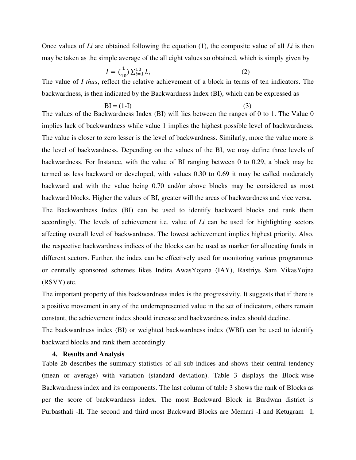Once values of *Li* are obtained following the equation (1), the composite value of all *Li* is then may be taken as the simple average of the all eight values so obtained, which is simply given by

$$
I = \left(\frac{1}{10}\right) \sum_{i=1}^{10} L_i
$$
 (2)

The value of *I thus*, reflect the relative achievement of a block in terms of ten indicators. The backwardness, is then indicated by the Backwardness Index (BI), which can be expressed as

$$
BI = (1-I)
$$
 (3)

The values of the Backwardness Index (BI) will lies between the ranges of 0 to 1. The Value 0 implies lack of backwardness while value 1 implies the highest possible level of backwardness. The value is closer to zero lesser is the level of backwardness. Similarly, more the value more is the level of backwardness. Depending on the values of the BI, we may define three levels of backwardness. For Instance, with the value of BI ranging between 0 to 0.29, a block may be termed as less backward or developed, with values 0.30 to 0.69 it may be called moderately backward and with the value being 0.70 and/or above blocks may be considered as most backward blocks. Higher the values of BI, greater will the areas of backwardness and vice versa. The Backwardness Index (BI) can be used to identify backward blocks and rank them accordingly. The levels of achievement i.e. value of *Li* can be used for highlighting sectors affecting overall level of backwardness. The lowest achievement implies highest priority. Also,

the respective backwardness indices of the blocks can be used as marker for allocating funds in different sectors. Further, the index can be effectively used for monitoring various programmes or centrally sponsored schemes likes Indira AwasYojana (IAY), Rastriys Sam VikasYojna (RSVY) etc.

The important property of this backwardness index is the progressivity. It suggests that if there is a positive movement in any of the underrepresented value in the set of indicators, others remain constant, the achievement index should increase and backwardness index should decline.

The backwardness index (BI) or weighted backwardness index (WBI) can be used to identify backward blocks and rank them accordingly.

## **4. Results and Analysis**

Table 2b describes the summary statistics of all sub-indices and shows their central tendency (mean or average) with variation (standard deviation). Table 3 displays the Block-wise Backwardness index and its components. The last column of table 3 shows the rank of Blocks as per the score of backwardness index. The most Backward Block in Burdwan district is Purbasthali -II. The second and third most Backward Blocks are Memari -I and Ketugram –I,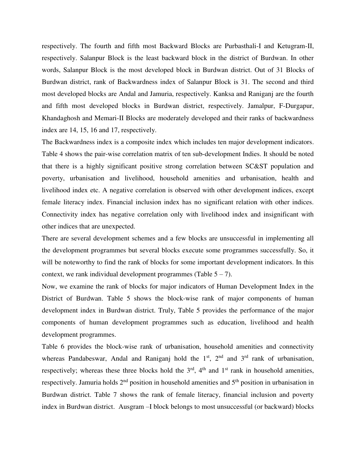respectively. The fourth and fifth most Backward Blocks are Purbasthali-I and Ketugram-II, respectively. Salanpur Block is the least backward block in the district of Burdwan. In other words, Salanpur Block is the most developed block in Burdwan district. Out of 31 Blocks of Burdwan district, rank of Backwardness index of Salanpur Block is 31. The second and third most developed blocks are Andal and Jamuria, respectively. Kanksa and Raniganj are the fourth and fifth most developed blocks in Burdwan district, respectively. Jamalpur, F-Durgapur, Khandaghosh and Memari-II Blocks are moderately developed and their ranks of backwardness index are 14, 15, 16 and 17, respectively.

The Backwardness index is a composite index which includes ten major development indicators. Table 4 shows the pair-wise correlation matrix of ten sub-development Indies. It should be noted that there is a highly significant positive strong correlation between SC&ST population and poverty, urbanisation and livelihood, household amenities and urbanisation, health and livelihood index etc. A negative correlation is observed with other development indices, except female literacy index. Financial inclusion index has no significant relation with other indices. Connectivity index has negative correlation only with livelihood index and insignificant with other indices that are unexpected.

There are several development schemes and a few blocks are unsuccessful in implementing all the development programmes but several blocks execute some programmes successfully. So, it will be noteworthy to find the rank of blocks for some important development indicators. In this context, we rank individual development programmes (Table  $5 - 7$ ).

Now, we examine the rank of blocks for major indicators of Human Development Index in the District of Burdwan. Table 5 shows the block-wise rank of major components of human development index in Burdwan district. Truly, Table 5 provides the performance of the major components of human development programmes such as education, livelihood and health development programmes.

Table 6 provides the block-wise rank of urbanisation, household amenities and connectivity whereas Pandabeswar, Andal and Raniganj hold the  $1<sup>st</sup>$ ,  $2<sup>nd</sup>$  and  $3<sup>rd</sup>$  rank of urbanisation, respectively; whereas these three blocks hold the  $3<sup>rd</sup>$ ,  $4<sup>th</sup>$  and  $1<sup>st</sup>$  rank in household amenities, respectively. Jamuria holds  $2<sup>nd</sup>$  position in household amenities and  $5<sup>th</sup>$  position in urbanisation in Burdwan district. Table 7 shows the rank of female literacy, financial inclusion and poverty index in Burdwan district. Ausgram –I block belongs to most unsuccessful (or backward) blocks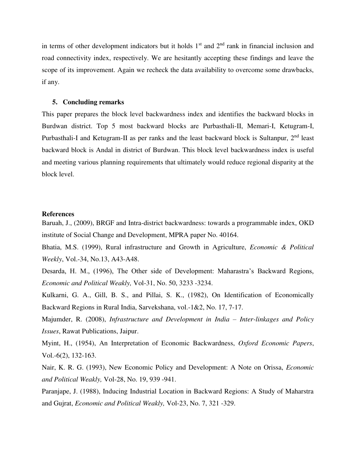in terms of other development indicators but it holds  $1<sup>st</sup>$  and  $2<sup>nd</sup>$  rank in financial inclusion and road connectivity index, respectively. We are hesitantly accepting these findings and leave the scope of its improvement. Again we recheck the data availability to overcome some drawbacks, if any.

### **5. Concluding remarks**

This paper prepares the block level backwardness index and identifies the backward blocks in Burdwan district. Top 5 most backward blocks are Purbasthali-II, Memari-I, Ketugram-I, Purbasthali-I and Ketugram-II as per ranks and the least backward block is Sultanpur, 2<sup>nd</sup> least backward block is Andal in district of Burdwan. This block level backwardness index is useful and meeting various planning requirements that ultimately would reduce regional disparity at the block level.

## **References**

Baruah, J., (2009), BRGF and Intra-district backwardness: towards a programmable index, OKD institute of Social Change and Development, MPRA paper No. 40164.

Bhatia, M.S. (1999), Rural infrastructure and Growth in Agriculture, *Economic & Political Weekly*, Vol.-34, No.13, A43-A48.

Desarda, H. M., (1996), The Other side of Development: Maharastra's Backward Regions, *Economic and Political Weakly,* Vol-31, No. 50, 3233 -3234.

Kulkarni, G. A., Gill, B. S., and Pillai, S. K., (1982), On Identification of Economically Backward Regions in Rural India, Sarvekshana, vol.-1&2, No. 17, 7-17.

Majumder, R. (2008), *Infrastructure and Development in India – Inter-linkages and Policy Issues*, Rawat Publications, Jaipur.

Myint, H., (1954), An Interpretation of Economic Backwardness, *Oxford Economic Papers*, Vol.-6(2), 132-163.

Nair, K. R. G. (1993), New Economic Policy and Development: A Note on Orissa, *Economic and Political Weakly,* Vol-28, No. 19, 939 -941.

Paranjape, J. (1988), Inducing Industrial Location in Backward Regions: A Study of Maharstra and Gujrat, *Economic and Political Weakly,* Vol-23, No. 7, 321 -329.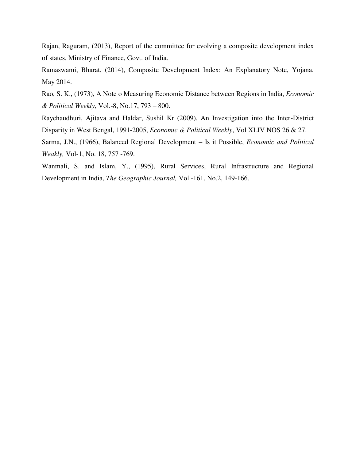Rajan, Raguram, (2013), Report of the committee for evolving a composite development index of states, Ministry of Finance, Govt. of India.

Ramaswami, Bharat, (2014), Composite Development Index: An Explanatory Note, Yojana, May 2014.

Rao, S. K., (1973), A Note o Measuring Economic Distance between Regions in India, *Economic & Political Weekly*, Vol.-8, No.17, 793 – 800.

Raychaudhuri, Ajitava and Haldar, Sushil Kr (2009), An Investigation into the Inter-District Disparity in West Bengal, 1991-2005, *Economic & Political Weekly*, Vol XLIV NOS 26 & 27.

Sarma, J.N., (1966), Balanced Regional Development – Is it Possible, *Economic and Political Weakly,* Vol-1, No. 18, 757 -769.

Wanmali, S. and Islam, Y., (1995), Rural Services, Rural Infrastructure and Regional Development in India, *The Geographic Journal,* Vol.-161, No.2, 149-166.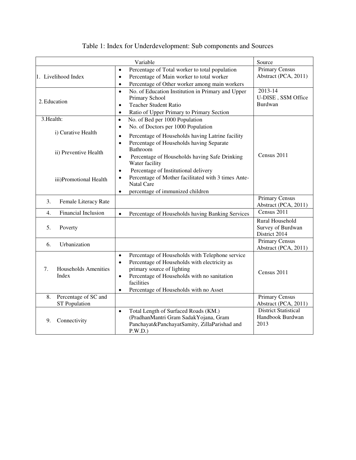|            |                        | Variable                                                                                                 | Source                                        |
|------------|------------------------|----------------------------------------------------------------------------------------------------------|-----------------------------------------------|
|            |                        | Percentage of Total worker to total population<br>$\bullet$                                              | Primary Census                                |
|            | 1. Livelihood Index    | Percentage of Main worker to total worker<br>$\bullet$                                                   | Abstract (PCA, 2011)                          |
|            |                        | Percentage of Other worker among main workers<br>$\bullet$                                               |                                               |
|            |                        | No. of Education Institution in Primary and Upper<br>$\bullet$                                           | $2013 - 14$                                   |
|            | 2. Education           | Primary School                                                                                           | U-DISE, SSM Office                            |
|            |                        | <b>Teacher Student Ratio</b><br>$\bullet$                                                                | Burdwan                                       |
|            |                        | Ratio of Upper Primary to Primary Section<br>$\bullet$                                                   |                                               |
| 3. Health: |                        | No. of Bed per 1000 Population<br>$\bullet$                                                              |                                               |
|            |                        | No. of Doctors per 1000 Population<br>$\bullet$                                                          |                                               |
|            | i) Curative Health     | Percentage of Households having Latrine facility<br>$\bullet$                                            |                                               |
|            |                        | Percentage of Households having Separate<br>$\bullet$                                                    |                                               |
|            | ii) Preventive Health  | Bathroom                                                                                                 |                                               |
|            |                        | Percentage of Households having Safe Drinking<br>$\bullet$                                               | Census 2011                                   |
|            |                        | Water facility                                                                                           |                                               |
|            |                        | Percentage of Institutional delivery<br>$\bullet$<br>Percentage of Mother facilitated with 3 times Ante- |                                               |
|            | iii)Promotional Health |                                                                                                          |                                               |
|            |                        | <b>Natal Care</b>                                                                                        |                                               |
|            |                        | percentage of immunized children<br>$\bullet$                                                            |                                               |
| 3.         | Female Literacy Rate   |                                                                                                          | <b>Primary Census</b><br>Abstract (PCA, 2011) |
| 4.         | Financial Inclusion    |                                                                                                          | Census 2011                                   |
|            |                        | Percentage of Households having Banking Services<br>$\bullet$                                            |                                               |
| 5.         | Poverty                |                                                                                                          | Rural Household<br>Survey of Burdwan          |
|            |                        |                                                                                                          | District 2014                                 |
|            |                        |                                                                                                          | <b>Primary Census</b>                         |
| 6.         | Urbanization           |                                                                                                          | Abstract (PCA, 2011)                          |
|            |                        | Percentage of Households with Telephone service<br>$\bullet$                                             |                                               |
|            |                        | Percentage of Households with electricity as<br>$\bullet$                                                |                                               |
| 7.         | Households Amenities   | primary source of lighting                                                                               |                                               |
|            | Index                  | Percentage of Households with no sanitation<br>$\bullet$                                                 | Census 2011                                   |
|            |                        | facilities                                                                                               |                                               |
|            |                        | Percentage of Households with no Asset<br>$\bullet$                                                      |                                               |
| 8.         | Percentage of SC and   |                                                                                                          | <b>Primary Census</b>                         |
|            | <b>ST</b> Population   |                                                                                                          | Abstract (PCA, 2011)                          |
|            |                        | Total Length of Surfaced Roads (KM.)<br>$\bullet$                                                        | <b>District Statistical</b>                   |
| 9.         | Connectivity           | (PradhanMantri Gram SadakYojana, Gram                                                                    | Handbook Burdwan                              |
|            |                        | Panchayat&PanchayatSamity, ZillaParishad and<br>P.W.D.)                                                  | 2013                                          |
|            |                        |                                                                                                          |                                               |

## Table 1: Index for Underdevelopment: Sub components and Sources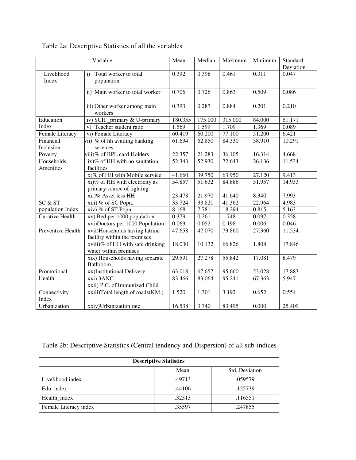|                          | Variable                                                       | Mean    | Median  | Maximum | Minimum | Standard<br>Deviation |
|--------------------------|----------------------------------------------------------------|---------|---------|---------|---------|-----------------------|
| Livelihood<br>Index      | Total worker to total<br>$\mathbf{i}$<br>population            | 0.392   | 0.398   | 0.461   | 0.311   | 0.047                 |
|                          | ii) Main worker to total worker                                | 0.706   | 0.726   | 0.863   | 0.509   | 0.086                 |
|                          | iii) Other worker among main<br>workers                        | 0.393   | 0.287   | 0.884   | 0.201   | 0.210                 |
| Education                | iv) SCH _primary & U-primary                                   | 180.355 | 175.000 | 315.000 | 84.000  | 51.171                |
| Index                    | v) Teacher student ratio                                       | 1.569   | 1.599   | 1.709   | 1.369   | 0.089                 |
| <b>Female Literacy</b>   | vi) Female Literacy                                            | 60.419  | 60.200  | 77.100  | 51.200  | 6.421                 |
| Financial<br>Inclusion   | vii) % of hh availing banking<br>services                      | 61.634  | 62.850  | 84.330  | 38.910  | 10.291                |
| Poverty                  | viii)% of BPL card Holders                                     | 22.357  | 21.283  | 36.105  | 16.314  | 4.668                 |
| Households<br>Amenities  | ix)% of HH with no sanitation<br>facilities                    | 52.343  | 52.930  | 72.643  | 26.136  | 11.534                |
|                          | x)% of HH with Mobile service                                  | 41.660  | 39.750  | 63.950  | 27.120  | 9.413                 |
|                          | xi)% of HH with electricity as<br>primary source of lighting   | 54.857  | 51.632  | 84.886  | 31.957  | 14.933                |
|                          | xii)% Asset less HH                                            | 23.478  | 21.970  | 41.640  | 8.340   | 7.993                 |
| SC & ST                  | xiii) % of SC Popn.                                            | 33.724  | 33.821  | 41.362  | 22.964  | 4.983                 |
| population Index         | xiv) % of ST Popn.                                             | 8.168   | 7.781   | 18.294  | 0.815   | 5.163                 |
| <b>Curative Health</b>   | xv) Bed per 1000 population                                    | 0.379   | 0.261   | 1.748   | 0.097   | 0.358                 |
|                          | xvi)Doctors per 1000 Population                                | 0.063   | 0.052   | 0.198   | 0.006   | 0.046                 |
| <b>Preventive Health</b> | xvii)Households having latrine<br>facility within the premises | 47.658  | 47.070  | 73.860  | 27.360  | 11.534                |
|                          | xviii)% of HH with safe drinking<br>water within premises      | 18.030  | 10.132  | 66.826  | 1.808   | 17.846                |
|                          | xix) Households having separate<br>Bathroom                    | 29.591  | 27.278  | 55.842  | 17.081  | 8.479                 |
| Promotional              | xx)Institutional Delivery                                      | 63.018  | 67.657  | 95.660  | 23.028  | 17.883                |
| Health                   | xxi) 3ANC                                                      | 83.466  | 83.064  | 95.241  | 67.363  | 5.947                 |
|                          | xxii) P.C. of Immunized Child                                  |         |         |         |         |                       |
| Connectivity<br>Index    | xxiii)Total length of roads(KM.)                               | 1.520   | 1.301   | 3.192   | 0.652   | 0.554                 |
| Urbanization             | xxiv)Urbanization rate                                         | 16.538  | 3.740   | 83.495  | 0.000   | 25.409                |

## Table 2a: Descriptive Statistics of all the variables

Table 2b: Descriptive Statistics (Central tendency and Dispersion) of all sub-indices

| <b>Descriptive Statistics</b> |        |                |  |  |  |  |  |
|-------------------------------|--------|----------------|--|--|--|--|--|
|                               | Mean   | Std. Deviation |  |  |  |  |  |
| Livelihood index              | .49713 | .059579        |  |  |  |  |  |
| Edu index                     | .44106 | .155739        |  |  |  |  |  |
| Health_index                  | .32313 | .116551        |  |  |  |  |  |
| Female Literacy index         | .35597 | .247855        |  |  |  |  |  |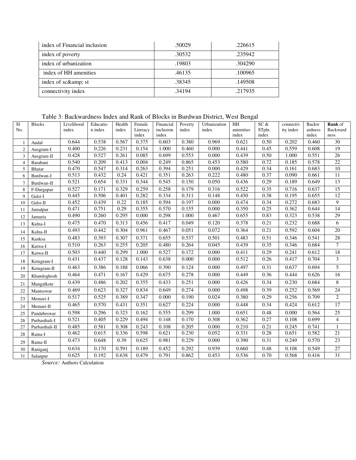| index of Financial inclusion | .50029 | .226615 |
|------------------------------|--------|---------|
| index of poverty             | .30532 | .235942 |
| index of urbanization        | .19803 | .304290 |
| index of HH amenities        | .46135 | .100965 |
| index of sc& st              | .38345 | .149508 |
| connectivity index           | .34194 | .217935 |

Table 3: Backwardness Index and Rank of Blocks in Burdwan District, West Bengal

| S1             | <b>Blocks</b>             | Livelihood | Educatio | Health | Female            | Financial          | Poverty | Urbanization | $\mathbf{H} \mathbf{H}$ | SC &           | connectiv | <b>Backw</b>     | <b>Rank</b> of   |
|----------------|---------------------------|------------|----------|--------|-------------------|--------------------|---------|--------------|-------------------------|----------------|-----------|------------------|------------------|
| No.            |                           | index      | n index  | index  | Literacy<br>index | inclusion<br>index | index   | index        | amenities<br>index      | STpln<br>index | ity index | ardness<br>index | Backward<br>ness |
| $\mathbf{1}$   | Andal                     | 0.644      | 0.538    | 0.567  | 0.375             | 0.603              | 0.380   | 0.969        | 0.621                   | 0.50           | 0.202     | 0.460            | $\overline{30}$  |
| $\overline{2}$ | Ausgram-I                 | 0.400      | 0.226    | 0.231  | 0.154             | 1.000              | 0.460   | 0.000        | 0.441                   | 0.45           | 0.559     | 0.608            | 19               |
| $\mathfrak{Z}$ | Ausgram-II                | 0.428      | 0.527    | 0.261  | 0.085             | 0.699              | 0.553   | 0.000        | 0.439                   | 0.50           | 1.000     | 0.551            | 26               |
| $\overline{4}$ | Barabani                  | 0.540      | 0.209    | 0.413  | 0.004             | 0.249              | 0.865   | 0.453        | 0.580                   | 0.72           | 0.185     | 0.578            | $\overline{22}$  |
| 5              | Bhatar                    | 0.470      | 0.547    | 0.314  | 0.263             | 0.394              | 0.251   | 0.000        | 0.429                   | 0.34           | 0.161     | 0.683            | $10\,$           |
| 6              | Burdwan-I                 | 0.513      | 0.432    | 0.24   | 0.421             | 0.351              | 0.263   | 0.222        | 0.480                   | 0.37           | 0.090     | 0.661            | 11               |
| $\overline{7}$ | Burdwan-II                | 0.521      | 0.654    | 0.331  | 0.344             | 0.545              | 0.150   | 0.050        | 0.436                   | 0.29           | 0.189     | 0.649            | 13               |
| 8              | F-Durgapur                | 0.527      | 0.171    | 0.329  | 0.259             | 0.258              | 0.179   | 0.316        | 0.522                   | 0.35           | 0.716     | 0.637            | $\overline{15}$  |
| 9              | Galsi-I                   | 0.445      | 0.506    | 0.401  | 0.282             | 0.334              | 0.311   | 0.148        | 0.450                   | 0.38           | 0.195     | 0.655            | 12               |
| 10             | Galsi-II                  | 0.452      | 0.439    | 0.22   | 0.185             | 0.594              | 0.197   | 0.000        | 0.474                   | 0.34           | 0.272     | 0.683            | 9                |
| 11             | Jamalpur                  | 0.471      | 0.751    | 0.29   | 0.355             | 0.570              | 0.155   | 0.000        | 0.350                   | 0.25           | 0.362     | 0.644            | 14               |
| 12             | Jamuria                   | 0.490      | 0.260    | 0.295  | 0.000             | 0.298              | 1.000   | 0.467        | 0.655                   | 0.83           | 0.323     | 0.538            | 29               |
| 13             | Kalna-I                   | 0.475      | 0.470    | 0.313  | 0.456             | 0.417              | 0.049   | 0.120        | 0.378                   | 0.21           | 0.232     | 0.688            | 6                |
| 14             | Kalna-II                  | 0.493      | 0.442    | 0.304  | 0.961             | 0.467              | 0.051   | 0.072        | 0.364                   | 0.21           | 0.592     | 0.604            | $\overline{20}$  |
| 15             | Kanksa                    | 0.483      | 0.393    | 0.307  | 0.371             | 0.655              | 0.537   | 0.501        | 0.483                   | 0.51           | 0.346     | 0.541            | 28               |
| 16             | Katwa-I                   | 0.510      | 0.263    | 0.255  | 0.205             | 0.480              | 0.264   | 0.045        | 0.439                   | 0.35           | 0.346     | 0.684            | $\tau$           |
| 17             | $\operatorname{Katwa-II}$ | 0.503      | 0.440    | 0.299  | 1.000             | 0.527              | 0.172   | 0.000        | 0.411                   | 0.29           | 0.241     | 0.612            | $18\,$           |
| 18             | Ketugram-I                | 0.431      | 0.437    | 0.128  | 0.143             | 0.638              | 0.000   | 0.000        | 0.512                   | 0.26           | 0.417     | 0.704            | 3                |
| 19             | Ketugram-II               | 0.463      | 0.386    | 0.188  | 0.066             | 0.390              | 0.124   | 0.000        | 0.497                   | 0.31           | 0.637     | 0.694            | 5                |
| 20             | Khandoghosh               | 0.464      | 0.471    | 0.167  | 0.429             | 0.675              | 0.278   | 0.000        | 0.449                   | 0.36           | 0.444     | 0.626            | 16               |
| 21             | Mangalkote                | 0.439      | 0.486    | 0.202  | 0.355             | 0.433              | 0.251   | 0.000        | 0.426                   | 0.34           | 0.230     | 0.684            | $\,8\,$          |
| 22             | Manteswar                 | 0.469      | 0.623    | 0.327  | 0.834             | 0.649              | 0.274   | 0.000        | 0.498                   | 0.39           | 0.252     | 0.569            | $\overline{24}$  |
| 23             | Memari-I                  | 0.517      | 0.525    | 0.389  | 0.347             | 0.000              | 0.190   | 0.024        | 0.380                   | 0.29           | 0.256     | 0.709            | $\overline{2}$   |
| 24             | Memari-II                 | 0.465      | 0.570    | 0.431  | 0.351             | 0.627              | 0.224   | 0.000        | 0.448                   | 0.34           | 0.424     | 0.612            | 17               |
| 25             | Pandabeswar               | 0.598      | 0.296    | 0.323  | 0.162             | 0.555              | 0.299   | 1.000        | 0.651                   | 0.48           | 0.000     | 0.564            | $\overline{25}$  |
| 26             | Purbasthali-I             | 0.521      | 0.405    | 0.229  | 0.494             | 0.148              | 0.170   | 0.308        | 0.362                   | 0.27           | 0.108     | 0.699            | $\overline{4}$   |
| 27             | Purbasthali-II            | 0.485      | 0.581    | 0.308  | 0.243             | 0.108              | 0.205   | 0.000        | 0.210                   | 0.21           | 0.245     | 0.741            |                  |
| $28\,$         | Raina-I                   | 0.462      | 0.615    | 0.336  | 0.598             | 0.621              | 0.230   | 0.052        | 0.331                   | 0.28           | 0.651     | 0.582            | $\overline{21}$  |
| 29             | Raina-II                  | 0.473      | 0.648    | 0.39   | 0.625             | 0.981              | 0.229   | 0.000        | 0.390                   | 0.31           | 0.249     | 0.570            | 23               |
| 30             | Raniganj                  | 0.634      | 0.170    | 0.591  | 0.189             | 0.452              | 0.292   | 0.939        | 0.660                   | 0.48           | 0.108     | 0.549            | $\overline{27}$  |
| 31             | Salanpur                  | 0.625      | 0.192    | 0.638  | 0.479             | 0.791              | 0.862   | 0.453        | 0.536                   | 0.70           | 0.568     | 0.416            | 31               |

*Source:* Authors Calculation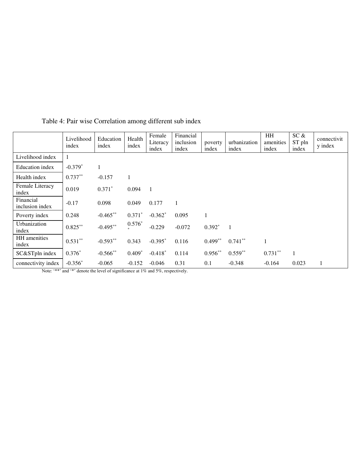|                              | Livelihood<br>index | Education<br>index | Health<br>index | Female<br>Literacy<br>index | Financial<br>inclusion<br>index | poverty<br>index | urbanization<br>index | HH<br>amenities<br>index | SC &<br>ST pln<br>index | connectivit<br>y index |
|------------------------------|---------------------|--------------------|-----------------|-----------------------------|---------------------------------|------------------|-----------------------|--------------------------|-------------------------|------------------------|
| Livelihood index             | 1                   |                    |                 |                             |                                 |                  |                       |                          |                         |                        |
| Education index              | $-0.379*$           |                    |                 |                             |                                 |                  |                       |                          |                         |                        |
| Health index                 | $0.737**$           | $-0.157$           | 1               |                             |                                 |                  |                       |                          |                         |                        |
| Female Literacy<br>index     | 0.019               | $0.371*$           | 0.094           | $\blacksquare$              |                                 |                  |                       |                          |                         |                        |
| Financial<br>inclusion index | $-0.17$             | 0.098              | 0.049           | 0.177                       |                                 |                  |                       |                          |                         |                        |
| Poverty index                | 0.248               | $-0.465***$        | $0.371*$        | $-0.362*$                   | 0.095                           | 1                |                       |                          |                         |                        |
| Urbanization<br>index        | $0.825***$          | $-0.495**$         | $0.576*$        | $-0.229$                    | $-0.072$                        | $0.392*$         | $\overline{1}$        |                          |                         |                        |
| HH amenities<br>index        | $0.531**$           | $-0.593**$         | 0.343           | $-0.395*$                   | 0.116                           | $0.499**$        | $0.741***$            |                          |                         |                        |
| SC&STpln index               | $0.376*$            | $-0.566$ **        | $0.409*$        | $-0.418*$                   | 0.114                           | $0.956***$       | $0.559**$             | $0.731***$               |                         |                        |
| connectivity index           | $-0.356*$           | $-0.065$           | $-0.152$        | $-0.046$                    | 0.31                            | 0.1              | $-0.348$              | $-0.164$                 | 0.023                   |                        |

Table 4: Pair wise Correlation among different sub index

Note: '\*\*' and '\*' denote the level of significance at 1% and 5%, respectively.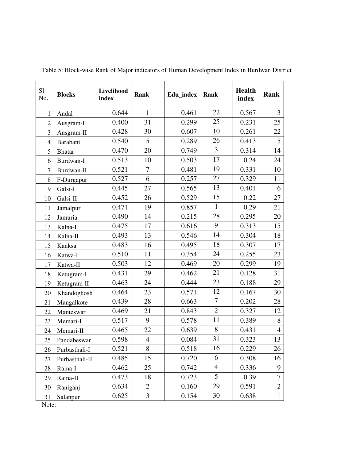| S1<br>No.      | <b>Blocks</b>  | Livelihood<br>index | Rank           | Edu_index | Rank           | <b>Health</b><br>index | <b>Rank</b>    |
|----------------|----------------|---------------------|----------------|-----------|----------------|------------------------|----------------|
| $\mathbf{1}$   | Andal          | 0.644               | $\mathbf{1}$   | 0.461     | 22             | 0.567                  | 3              |
| $\overline{2}$ | Ausgram-I      | 0.400               | 31             | 0.299     | 25             | 0.231                  | 25             |
| 3              | Ausgram-II     | 0.428               | 30             | 0.607     | 10             | 0.261                  | 22             |
| $\overline{4}$ | Barabani       | 0.540               | 5              | 0.289     | 26             | 0.413                  | 5              |
| 5              | <b>Bhatar</b>  | 0.470               | 20             | 0.749     | 3              | 0.314                  | 14             |
| 6              | Burdwan-I      | 0.513               | 10             | 0.503     | 17             | 0.24                   | 24             |
| $\overline{7}$ | Burdwan-II     | 0.521               | 7              | 0.481     | 19             | 0.331                  | 10             |
| 8              | F-Durgapur     | 0.527               | 6              | 0.257     | 27             | 0.329                  | 11             |
| 9              | Galsi-I        | 0.445               | 27             | 0.565     | 13             | 0.401                  | 6              |
| 10             | Galsi-II       | 0.452               | 26             | 0.529     | 15             | 0.22                   | 27             |
| 11             | Jamalpur       | 0.471               | 19             | 0.857     | $\mathbf{1}$   | 0.29                   | 21             |
| 12             | Jamuria        | 0.490               | 14             | 0.215     | 28             | 0.295                  | 20             |
| 13             | Kalna-I        | 0.475               | 17             | 0.616     | 9              | 0.313                  | 15             |
| 14             | Kalna-II       | 0.493               | 13             | 0.546     | 14             | 0.304                  | 18             |
| 15             | Kanksa         | 0.483               | 16             | 0.495     | 18             | 0.307                  | 17             |
| 16             | Katwa-I        | 0.510               | 11             | 0.354     | 24             | 0.255                  | 23             |
| 17             | Katwa-II       | 0.503               | 12             | 0.469     | 20             | 0.299                  | 19             |
| 18             | Ketugram-I     | 0.431               | 29             | 0.462     | 21             | 0.128                  | 31             |
| 19             | Ketugram-II    | 0.463               | 24             | 0.444     | 23             | 0.188                  | 29             |
| 20             | Khandoghosh    | 0.464               | 23             | 0.571     | 12             | 0.167                  | 30             |
| 21             | Mangalkote     | 0.439               | 28             | 0.663     | $\tau$         | 0.202                  | 28             |
| 22             | Manteswar      | 0.469               | 21             | 0.843     | $\overline{2}$ | 0.327                  | 12             |
| 23             | Memari-I       | 0.517               | 9              | 0.578     | 11             | 0.389                  | 8              |
| 24             | Memari-II      | 0.465               | 22             | 0.639     | 8              | 0.431                  | $\overline{4}$ |
| 25             | Pandabeswar    | 0.598               | $\overline{4}$ | 0.084     | 31             | 0.323                  | 13             |
| 26             | Purbasthali-I  | 0.521               | 8              | 0.518     | 16             | 0.229                  | 26             |
| 27             | Purbasthali-II | 0.485               | 15             | 0.720     | 6              | 0.308                  | 16             |
| 28             | Raina-I        | 0.462               | 25             | 0.742     | $\overline{4}$ | 0.336                  | 9              |
| 29             | Raina-II       | 0.473               | 18             | 0.723     | 5              | 0.39                   | $\overline{7}$ |
| 30             | Raniganj       | 0.634               | $\overline{2}$ | 0.160     | 29             | 0.591                  | $\mathbf{2}$   |
| 31<br>$NT - 4$ | Salanpur       | 0.625               | 3              | 0.154     | 30             | 0.638                  | $\mathbf{1}$   |

Table 5: Block-wise Rank of Major indicators of Human Development Index in Burdwan District

Note: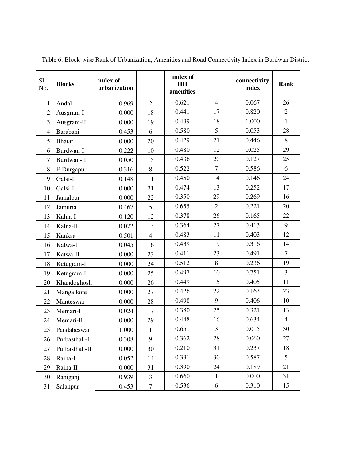| S1<br>No.      | <b>Blocks</b>  | index of<br>urbanization |                | index of<br>HH<br>amenities |                | connectivity<br>index | Rank           |
|----------------|----------------|--------------------------|----------------|-----------------------------|----------------|-----------------------|----------------|
| 1              | Andal          | 0.969                    | $\overline{2}$ | 0.621                       | $\overline{4}$ | 0.067                 | 26             |
| $\overline{2}$ | Ausgram-I      | 0.000                    | 18             | 0.441                       | 17             | 0.820                 | $\mathfrak{2}$ |
| 3              | Ausgram-II     | 0.000                    | 19             | 0.439                       | 18             | 1.000                 | $\mathbf{1}$   |
| $\overline{4}$ | Barabani       | 0.453                    | 6              | 0.580                       | 5              | 0.053                 | 28             |
| 5              | <b>Bhatar</b>  | 0.000                    | 20             | 0.429                       | 21             | 0.446                 | 8              |
| 6              | Burdwan-I      | 0.222                    | 10             | 0.480                       | 12             | 0.025                 | 29             |
| 7              | Burdwan-II     | 0.050                    | 15             | 0.436                       | 20             | 0.127                 | 25             |
| 8              | F-Durgapur     | 0.316                    | $8\,$          | 0.522                       | $\overline{7}$ | 0.586                 | 6              |
| 9              | Galsi-I        | 0.148                    | 11             | 0.450                       | 14             | 0.146                 | 24             |
| 10             | Galsi-II       | 0.000                    | 21             | 0.474                       | 13             | 0.252                 | 17             |
| 11             | Jamalpur       | 0.000                    | 22             | 0.350                       | 29             | 0.269                 | 16             |
| 12             | Jamuria        | 0.467                    | 5              | 0.655                       | $\overline{2}$ | 0.221                 | 20             |
| 13             | Kalna-I        | 0.120                    | 12             | 0.378                       | 26             | 0.165                 | 22             |
| 14             | Kalna-II       | 0.072                    | 13             | 0.364                       | 27             | 0.413                 | 9              |
| 15             | Kanksa         | 0.501                    | $\overline{4}$ | 0.483                       | 11             | 0.403                 | 12             |
| 16             | Katwa-I        | 0.045                    | 16             | 0.439                       | 19             | 0.316                 | 14             |
| 17             | Katwa-II       | 0.000                    | 23             | 0.411                       | 23             | 0.491                 | $\tau$         |
| 18             | Ketugram-I     | 0.000                    | 24             | 0.512                       | 8              | 0.236                 | 19             |
| 19             | Ketugram-II    | 0.000                    | 25             | 0.497                       | 10             | 0.751                 | $\overline{3}$ |
| 20             | Khandoghosh    | 0.000                    | 26             | 0.449                       | 15             | 0.405                 | 11             |
| 21             | Mangalkote     | 0.000                    | 27             | 0.426                       | 22             | 0.163                 | 23             |
| 22             | Manteswar      | 0.000                    | 28             | 0.498                       | 9              | 0.406                 | 10             |
| 23             | Memari-I       | 0.024                    | 17             | 0.380                       | 25             | 0.321                 | 13             |
| 24             | Memari-II      | 0.000                    | 29             | 0.448                       | 16             | 0.634                 | $\overline{4}$ |
| 25             | Pandabeswar    | 1.000                    | $\mathbf{1}$   | 0.651                       | 3              | 0.015                 | 30             |
| 26             | Purbasthali-I  | 0.308                    | 9              | 0.362                       | 28             | 0.060                 | 27             |
| 27             | Purbasthali-II | 0.000                    | 30             | 0.210                       | 31             | 0.237                 | 18             |
| 28             | Raina-I        | 0.052                    | 14             | 0.331                       | 30             | 0.587                 | 5              |
| 29             | Raina-II       | 0.000                    | 31             | 0.390                       | 24             | 0.189                 | 21             |
| 30             | Raniganj       | 0.939                    | 3              | 0.660                       | $\mathbf{1}$   | 0.000                 | 31             |
| 31             | Salanpur       | 0.453                    | $\tau$         | 0.536                       | 6              | 0.310                 | 15             |

Table 6: Block-wise Rank of Urbanization, Amenities and Road Connectivity Index in Burdwan District